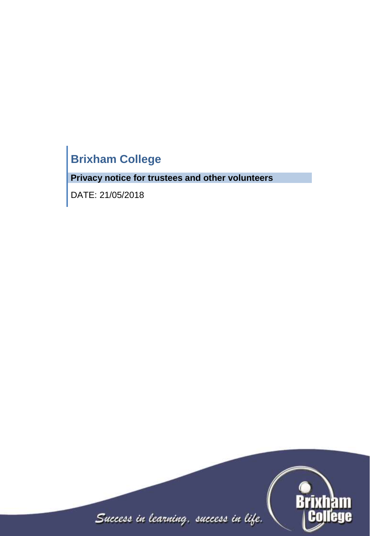# **Brixham College**

**Privacy notice for trustees and other volunteers**

DATE: 21/05/2018

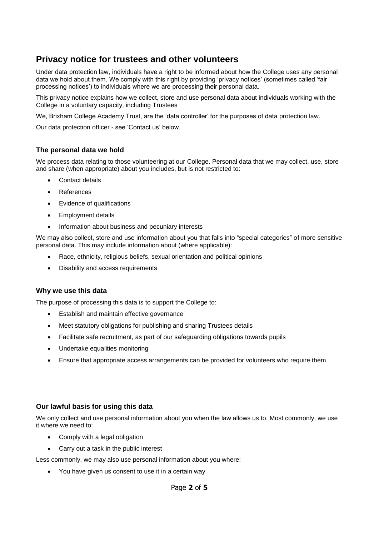# **Privacy notice for trustees and other volunteers**

Under data protection law, individuals have a right to be informed about how the College uses any personal data we hold about them. We comply with this right by providing 'privacy notices' (sometimes called 'fair processing notices') to individuals where we are processing their personal data.

This privacy notice explains how we collect, store and use personal data about individuals working with the College in a voluntary capacity, including Trustees

We, Brixham College Academy Trust, are the 'data controller' for the purposes of data protection law.

Our data protection officer - see 'Contact us' below.

# **The personal data we hold**

We process data relating to those volunteering at our College. Personal data that we may collect, use, store and share (when appropriate) about you includes, but is not restricted to:

- Contact details
- References
- Evidence of qualifications
- **Employment details**
- Information about business and pecuniary interests

We may also collect, store and use information about you that falls into "special categories" of more sensitive personal data. This may include information about (where applicable):

- Race, ethnicity, religious beliefs, sexual orientation and political opinions
- Disability and access requirements

# **Why we use this data**

The purpose of processing this data is to support the College to:

- Establish and maintain effective governance
- Meet statutory obligations for publishing and sharing Trustees details
- Facilitate safe recruitment, as part of our safeguarding obligations towards pupils
- Undertake equalities monitoring
- Ensure that appropriate access arrangements can be provided for volunteers who require them

# **Our lawful basis for using this data**

We only collect and use personal information about you when the law allows us to. Most commonly, we use it where we need to:

- Comply with a legal obligation
- Carry out a task in the public interest

Less commonly, we may also use personal information about you where:

You have given us consent to use it in a certain way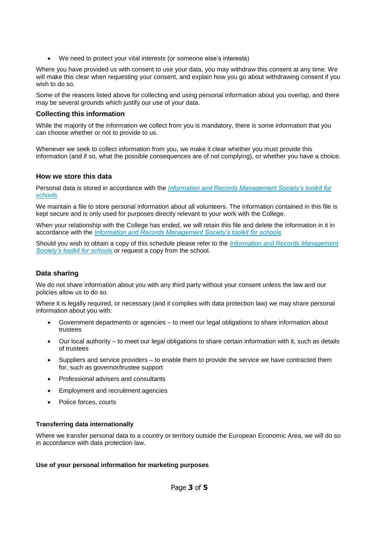We need to protect your vital interests (or someone else's interests)

Where you have provided us with consent to use your data, you may withdraw this consent at any time. We will make this clear when requesting your consent, and explain how you go about withdrawing consent if you wish to do so.

Some of the reasons listed above for collecting and using personal information about you overlap, and there may be several grounds which justify our use of your data.

# **Collecting this information**

While the majority of the information we collect from you is mandatory, there is some information that you can choose whether or not to provide to us.

Whenever we seek to collect information from you, we make it clear whether you must provide this information (and if so, what the possible consequences are of not complying), or whether you have a choice.

# **How we store this data**

Personal data is stored in accordance with the *[Information and Records Management Society's toolkit for](http://irms.org.uk/?page=schoolstoolkit&terms=%22toolkit+and+schools%22)  [schools](http://irms.org.uk/?page=schoolstoolkit&terms=%22toolkit+and+schools%22)*

We maintain a file to store personal information about all volunteers. The information contained in this file is kept secure and is only used for purposes directly relevant to your work with the College.

When your relationship with the College has ended, we will retain this file and delete the information in it in accordance with the *[Information and Records Management Society's toolkit for schools](http://irms.org.uk/?page=schoolstoolkit&terms=%22toolkit+and+schools%22)*

Should you wish to obtain a copy of this schedule please refer to the *[Information and Records Management](http://irms.org.uk/?page=schoolstoolkit&terms=%22toolkit+and+schools%22)  [Society's toolkit for schools](http://irms.org.uk/?page=schoolstoolkit&terms=%22toolkit+and+schools%22)* or request a copy from the school.

# **Data sharing**

We do not share information about you with any third party without your consent unless the law and our policies allow us to do so.

Where it is legally required, or necessary (and it complies with data protection law) we may share personal information about you with:

- Government departments or agencies to meet our legal obligations to share information about trustees
- Our local authority to meet our legal obligations to share certain information with it, such as details of trustees
- Suppliers and service providers to enable them to provide the service we have contracted them for, such as governor/trustee support
- Professional advisers and consultants
- Employment and recruitment agencies
- Police forces, courts

#### **Transferring data internationally**

Where we transfer personal data to a country or territory outside the European Economic Area, we will do so in accordance with data protection law.

#### **Use of your personal information for marketing purposes**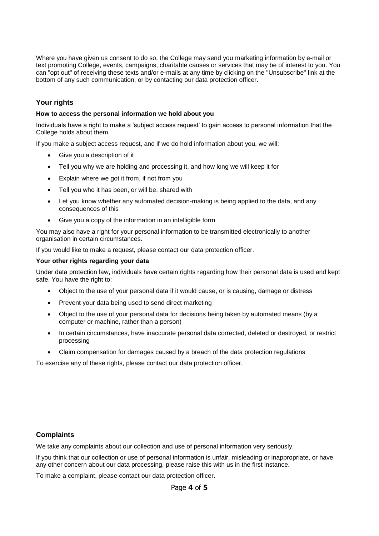Where you have given us consent to do so, the College may send you marketing information by e-mail or text promoting College, events, campaigns, charitable causes or services that may be of interest to you. You can "opt out" of receiving these texts and/or e-mails at any time by clicking on the "Unsubscribe" link at the bottom of any such communication, or by contacting our data protection officer.

# **Your rights**

#### **How to access the personal information we hold about you**

Individuals have a right to make a 'subject access request' to gain access to personal information that the College holds about them.

If you make a subject access request, and if we do hold information about you, we will:

- Give you a description of it
- Tell you why we are holding and processing it, and how long we will keep it for
- Explain where we got it from, if not from you
- Tell you who it has been, or will be, shared with
- Let you know whether any automated decision-making is being applied to the data, and any consequences of this
- Give you a copy of the information in an intelligible form

You may also have a right for your personal information to be transmitted electronically to another organisation in certain circumstances.

If you would like to make a request, please contact our data protection officer.

#### **Your other rights regarding your data**

Under data protection law, individuals have certain rights regarding how their personal data is used and kept safe. You have the right to:

- Object to the use of your personal data if it would cause, or is causing, damage or distress
- Prevent your data being used to send direct marketing
- Object to the use of your personal data for decisions being taken by automated means (by a computer or machine, rather than a person)
- In certain circumstances, have inaccurate personal data corrected, deleted or destroyed, or restrict processing
- Claim compensation for damages caused by a breach of the data protection regulations

To exercise any of these rights, please contact our data protection officer.

#### **Complaints**

We take any complaints about our collection and use of personal information very seriously.

If you think that our collection or use of personal information is unfair, misleading or inappropriate, or have any other concern about our data processing, please raise this with us in the first instance.

To make a complaint, please contact our data protection officer.